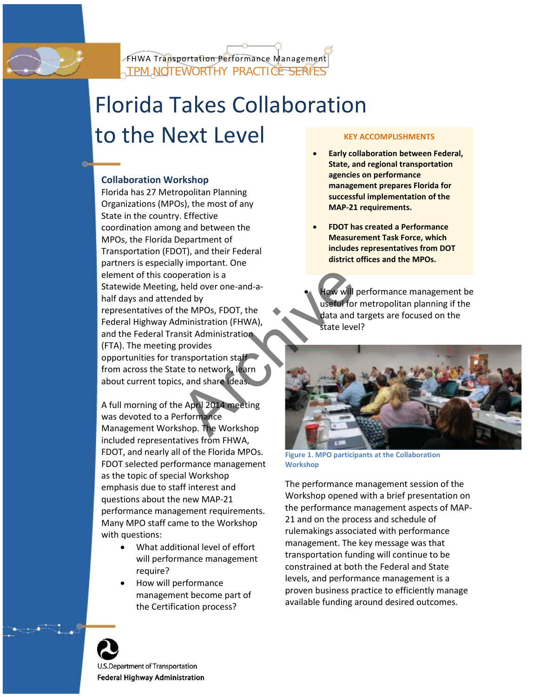

# Florida Takes Collaboration to the Next Level

# **Collaboration Workshop**

Florida has 27 Metropolitan Planning Organizations (MPOs), the most of any State in the country. Effective coordination among and between the MPOs, the Florida Department of Transportation (FDOT), and their Federal partners is especially important. One element of this cooperation is a Statewide Meeting, held over one-and-ahalf days and attended by representatives of the MPOs, FDOT, the Federal Highway Administration (FHWA), and the Federal Transit Administration (FTA). The meeting provides opportunities for transportation staff from across the State to network, learn about current topics, and share ideas. Peration is a<br>
held over one-and-a-<br>
ded by<br>
the MPOs, FDOT, the<br>
Iministration (FHWA),<br>
nsit Administration<br>
provides<br>
ansportation staff<br>
te to network, learn<br>
s, and share ideas.<br>
e April 2014 meeting<br>
erformance<br>
shop.

A full morning of the April 2014 meeting was devoted to a Performance Management Workshop. The Workshop included representatives from FHWA, FDOT, and nearly all of the Florida MPOs. FDOT selected performance management as the topic of special Workshop emphasis due to staff interest and questions about the new MAP-21 performance management requirements. Many MPO staff came to the Workshop with questions:

- What additional level of effort will performance management require?
- How will performance management become part of the Certification process?

#### **KEY ACCOMPLISHMENTS**

- **Early collaboration between Federal, State, and regional transportation agencies on performance management prepares Florida for successful implementation of the MAP-21 requirements.**
- **FDOT has created a Performance Measurement Task Force, which includes representatives from DOT district offices and the MPOs.**

ow will performance management be useful for metropolitan planning if the data and targets are focused on the state level?



**Figure 1. MPO participants at the Collaboration Workshop**

The performance management session of the Workshop opened with a brief presentation on the performance management aspects of MAP-21 and on the process and schedule of rulemakings associated with performance management. The key message was that transportation funding will continue to be constrained at both the Federal and State levels, and performance management is a proven business practice to efficiently manage available funding around desired outcomes.



U.S. Department of Transportation Federal Highway Administration